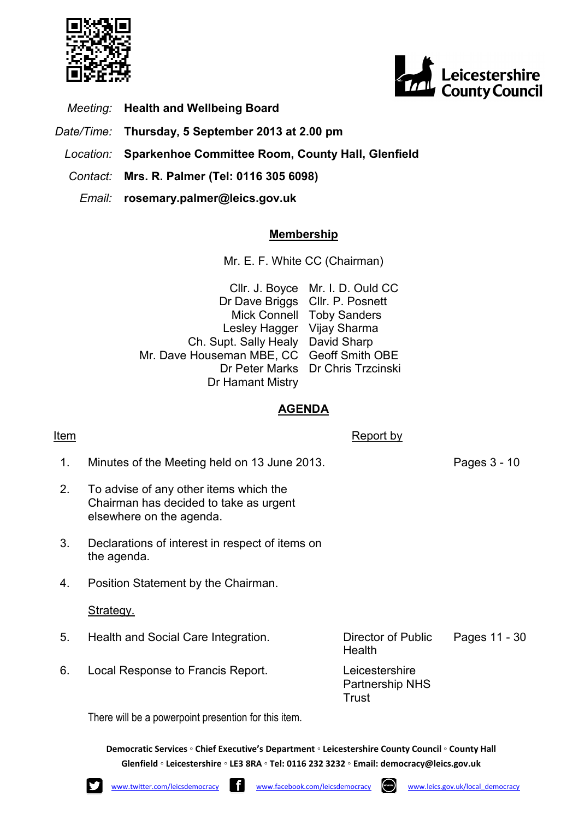



- Meeting: Health and Wellbeing Board
- Date/Time: Thursday, 5 September 2013 at 2.00 pm
	- Location: Sparkenhoe Committee Room, County Hall, Glenfield
	- Contact: Mrs. R. Palmer (Tel: 0116 305 6098)
		- Email: rosemary.palmer@leics.gov.uk

## Membership

Mr. E. F. White CC (Chairman)

Cllr. J. Boyce Mr. I. D. Ould CC Dr Dave Briggs Cllr. P. Posnett Mick Connell Toby Sanders Lesley Hagger Vijay Sharma Ch. Supt. Sally Healy David Sharp Mr. Dave Houseman MBE, CC Geoff Smith OBE Dr Peter Marks Dr Chris Trzcinski Dr Hamant Mistry

## AGENDA

## Item Report by the Report by the Report by  $\sim$

- 1. Minutes of the Meeting held on 13 June 2013. Pages 3 - 10
- 2. To advise of any other items which the Chairman has decided to take as urgent elsewhere on the agenda.
- 3. Declarations of interest in respect of items on the agenda.
- 4. Position Statement by the Chairman.

## Strategy.

- 5. Health and Social Care Integration. Director of Public
- 6. Local Response to Francis Report. Leicestershire

Health

Pages 11 - 30

Partnership NHS **Trust** 

There will be a powerpoint presention for this item.

Democratic Services ◦ Chief Executive's Department ◦ Leicestershire County Council ◦ County Hall Glenfield ◦ Leicestershire ◦ LE3 8RA ◦ Tel: 0116 232 3232 ◦ Email: democracy@leics.gov.uk